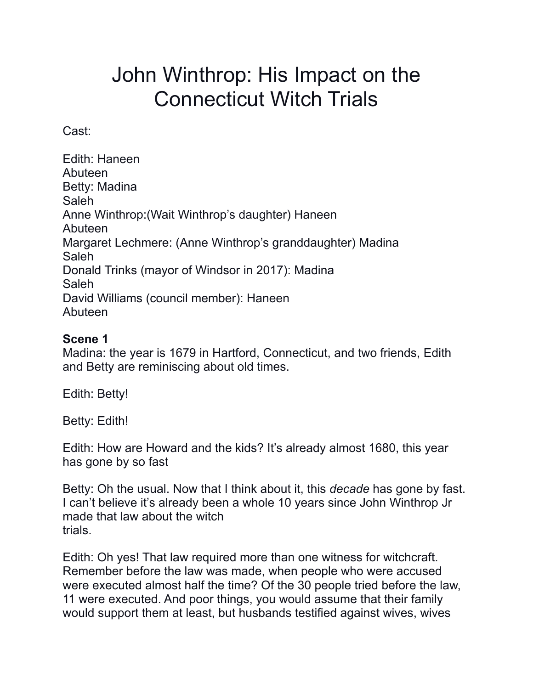## John Winthrop: His Impact on the Connecticut Witch Trials

Cast:

Edith: Haneen Abuteen Betty: Madina Saleh Anne Winthrop:(Wait Winthrop's daughter) Haneen Abuteen Margaret Lechmere: (Anne Winthrop's granddaughter) Madina Saleh Donald Trinks (mayor of Windsor in 2017): Madina Saleh David Williams (council member): Haneen Abuteen

## **Scene 1**

Madina: the year is 1679 in Hartford, Connecticut, and two friends, Edith and Betty are reminiscing about old times.

Edith: Betty!

Betty: Edith!

Edith: How are Howard and the kids? It's already almost 1680, this year has gone by so fast

Betty: Oh the usual. Now that I think about it, this *decade* has gone by fast. I can't believe it's already been a whole 10 years since John Winthrop Jr made that law about the witch trials.

Edith: Oh yes! That law required more than one witness for witchcraft. Remember before the law was made, when people who were accused were executed almost half the time? Of the 30 people tried before the law, 11 were executed. And poor things, you would assume that their family would support them at least, but husbands testified against wives, wives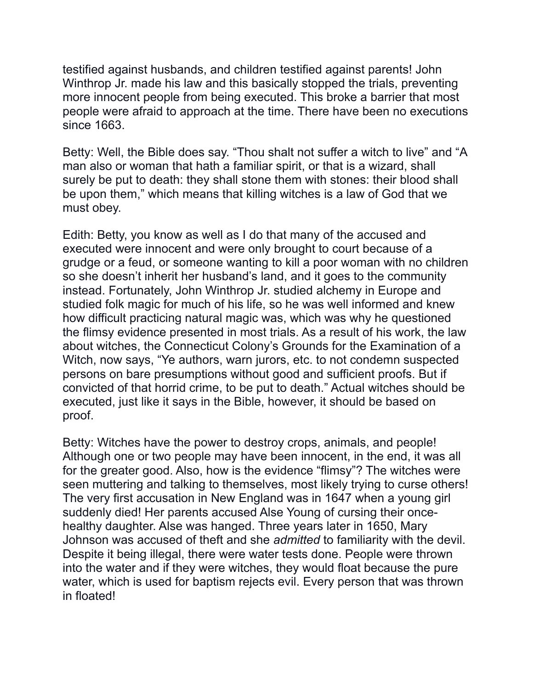testified against husbands, and children testified against parents! John Winthrop Jr. made his law and this basically stopped the trials, preventing more innocent people from being executed. This broke a barrier that most people were afraid to approach at the time. There have been no executions since 1663.

Betty: Well, the Bible does say. "Thou shalt not suffer a witch to live" and "A man also or woman that hath a familiar spirit, or that is a wizard, shall surely be put to death: they shall stone them with stones: their blood shall be upon them," which means that killing witches is a law of God that we must obey.

Edith: Betty, you know as well as I do that many of the accused and executed were innocent and were only brought to court because of a grudge or a feud, or someone wanting to kill a poor woman with no children so she doesn't inherit her husband's land, and it goes to the community instead. Fortunately, John Winthrop Jr. studied alchemy in Europe and studied folk magic for much of his life, so he was well informed and knew how difficult practicing natural magic was, which was why he questioned the flimsy evidence presented in most trials. As a result of his work, the law about witches, the Connecticut Colony's Grounds for the Examination of a Witch, now says, "Ye authors, warn jurors, etc. to not condemn suspected persons on bare presumptions without good and sufficient proofs. But if convicted of that horrid crime, to be put to death." Actual witches should be executed, just like it says in the Bible, however, it should be based on proof.

Betty: Witches have the power to destroy crops, animals, and people! Although one or two people may have been innocent, in the end, it was all for the greater good. Also, how is the evidence "flimsy"? The witches were seen muttering and talking to themselves, most likely trying to curse others! The very first accusation in New England was in 1647 when a young girl suddenly died! Her parents accused Alse Young of cursing their oncehealthy daughter. Alse was hanged. Three years later in 1650, Mary Johnson was accused of theft and she *admitted* to familiarity with the devil. Despite it being illegal, there were water tests done. People were thrown into the water and if they were witches, they would float because the pure water, which is used for baptism rejects evil. Every person that was thrown in floated!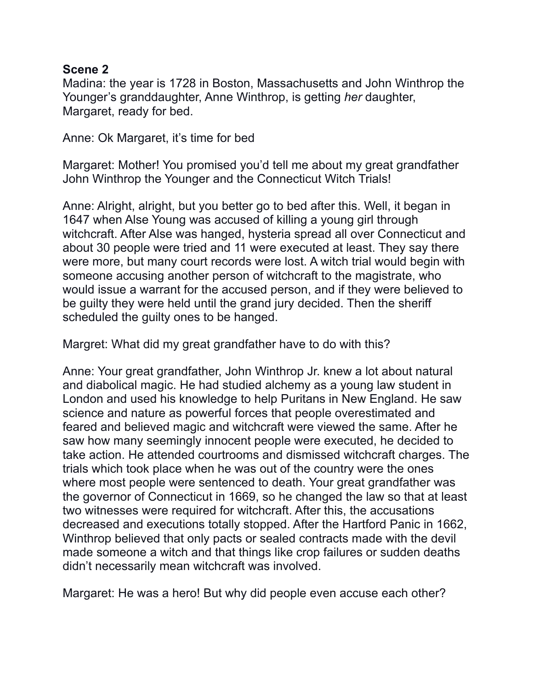## **Scene 2**

Madina: the year is 1728 in Boston, Massachusetts and John Winthrop the Younger's granddaughter, Anne Winthrop, is getting *her* daughter, Margaret, ready for bed.

Anne: Ok Margaret, it's time for bed

Margaret: Mother! You promised you'd tell me about my great grandfather John Winthrop the Younger and the Connecticut Witch Trials!

Anne: Alright, alright, but you better go to bed after this. Well, it began in 1647 when Alse Young was accused of killing a young girl through witchcraft. After Alse was hanged, hysteria spread all over Connecticut and about 30 people were tried and 11 were executed at least. They say there were more, but many court records were lost. A witch trial would begin with someone accusing another person of witchcraft to the magistrate, who would issue a warrant for the accused person, and if they were believed to be guilty they were held until the grand jury decided. Then the sheriff scheduled the guilty ones to be hanged.

Margret: What did my great grandfather have to do with this?

Anne: Your great grandfather, John Winthrop Jr. knew a lot about natural and diabolical magic. He had studied alchemy as a young law student in London and used his knowledge to help Puritans in New England. He saw science and nature as powerful forces that people overestimated and feared and believed magic and witchcraft were viewed the same. After he saw how many seemingly innocent people were executed, he decided to take action. He attended courtrooms and dismissed witchcraft charges. The trials which took place when he was out of the country were the ones where most people were sentenced to death. Your great grandfather was the governor of Connecticut in 1669, so he changed the law so that at least two witnesses were required for witchcraft. After this, the accusations decreased and executions totally stopped. After the Hartford Panic in 1662, Winthrop believed that only pacts or sealed contracts made with the devil made someone a witch and that things like crop failures or sudden deaths didn't necessarily mean witchcraft was involved.

Margaret: He was a hero! But why did people even accuse each other?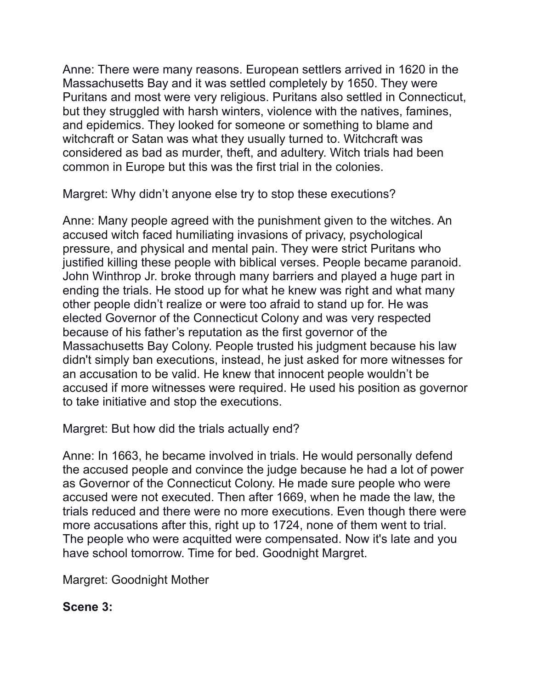Anne: There were many reasons. European settlers arrived in 1620 in the Massachusetts Bay and it was settled completely by 1650. They were Puritans and most were very religious. Puritans also settled in Connecticut, but they struggled with harsh winters, violence with the natives, famines, and epidemics. They looked for someone or something to blame and witchcraft or Satan was what they usually turned to. Witchcraft was considered as bad as murder, theft, and adultery. Witch trials had been common in Europe but this was the first trial in the colonies.

Margret: Why didn't anyone else try to stop these executions?

Anne: Many people agreed with the punishment given to the witches. An accused witch faced humiliating invasions of privacy, psychological pressure, and physical and mental pain. They were strict Puritans who justified killing these people with biblical verses. People became paranoid. John Winthrop Jr. broke through many barriers and played a huge part in ending the trials. He stood up for what he knew was right and what many other people didn't realize or were too afraid to stand up for. He was elected Governor of the Connecticut Colony and was very respected because of his father's reputation as the first governor of the Massachusetts Bay Colony. People trusted his judgment because his law didn't simply ban executions, instead, he just asked for more witnesses for an accusation to be valid. He knew that innocent people wouldn't be accused if more witnesses were required. He used his position as governor to take initiative and stop the executions.

Margret: But how did the trials actually end?

Anne: In 1663, he became involved in trials. He would personally defend the accused people and convince the judge because he had a lot of power as Governor of the Connecticut Colony. He made sure people who were accused were not executed. Then after 1669, when he made the law, the trials reduced and there were no more executions. Even though there were more accusations after this, right up to 1724, none of them went to trial. The people who were acquitted were compensated. Now it's late and you have school tomorrow. Time for bed. Goodnight Margret.

Margret: Goodnight Mother

**Scene 3:**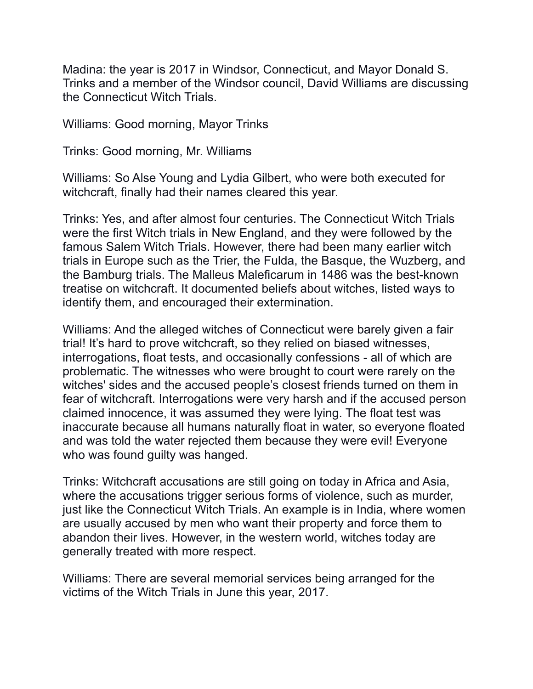Madina: the year is 2017 in Windsor, Connecticut, and Mayor Donald S. Trinks and a member of the Windsor council, David Williams are discussing the Connecticut Witch Trials.

Williams: Good morning, Mayor Trinks

Trinks: Good morning, Mr. Williams

Williams: So Alse Young and Lydia Gilbert, who were both executed for witchcraft, finally had their names cleared this year.

Trinks: Yes, and after almost four centuries. The Connecticut Witch Trials were the first Witch trials in New England, and they were followed by the famous Salem Witch Trials. However, there had been many earlier witch trials in Europe such as the Trier, the Fulda, the Basque, the Wuzberg, and the Bamburg trials. The Malleus Maleficarum in 1486 was the best-known treatise on witchcraft. It documented beliefs about witches, listed ways to identify them, and encouraged their extermination.

Williams: And the alleged witches of Connecticut were barely given a fair trial! It's hard to prove witchcraft, so they relied on biased witnesses, interrogations, float tests, and occasionally confessions - all of which are problematic. The witnesses who were brought to court were rarely on the witches' sides and the accused people's closest friends turned on them in fear of witchcraft. Interrogations were very harsh and if the accused person claimed innocence, it was assumed they were lying. The float test was inaccurate because all humans naturally float in water, so everyone floated and was told the water rejected them because they were evil! Everyone who was found guilty was hanged.

Trinks: Witchcraft accusations are still going on today in Africa and Asia, where the accusations trigger serious forms of violence, such as murder, just like the Connecticut Witch Trials. An example is in India, where women are usually accused by men who want their property and force them to abandon their lives. However, in the western world, witches today are generally treated with more respect.

Williams: There are several memorial services being arranged for the victims of the Witch Trials in June this year, 2017.